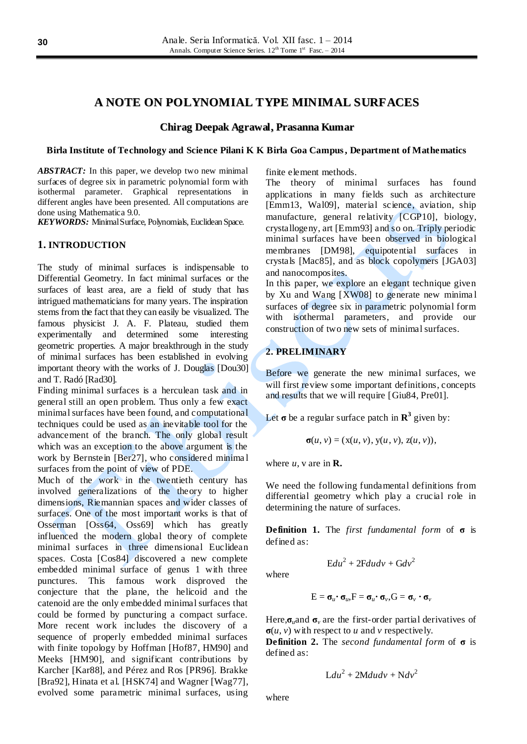# **A NOTE ON POLYNOMIAL TYPE MINIMAL SURFACES**

## **Chirag Deepak Agrawal, Prasanna Kumar**

#### **Birla Institute of Technology and Science Pilani K K Birla Goa Campus, Department of Mathematics**

*ABSTRACT:* In this paper, we develop two new minimal surfaces of degree six in parametric polynomial form with isothermal parameter. Graphical representations in different angles have been presented. All computations are done using Mathematica 9.0.

*KEYWORDS:* Minimal Surface, Polynomials, Euclidean Space.

## **1. INTRODUCTION**

The study of minimal surfaces is indispensable to Differential Geometry. In fact minimal surfaces or the surfaces of least area, are a field of study that has intrigued mathematicians for many years. The inspiration stems from the fact that they can easily be visualized. The famous physicist J. A. F. Plateau, studied them experimentally and determined some interesting geometric properties. A major breakthrough in the study of minimal surfaces has been established in evolving important theory with the works of J. Douglas [Dou30] and T. Radó [Rad30].

Finding minimal surfaces is a herculean task and in general still an open problem. Thus only a few exact minimal surfaces have been found, and computational techniques could be used as an inevitable tool for the advancement of the branch. The only global result which was an exception to the above argument is the work by Bernstein [Ber27], who considered minima l surfaces from the point of view of PDE.

Much of the work in the twentieth century has involved generalizations of the theory to higher dimensions, Riemannian spaces and wider classes of surfaces. One of the most important works is that of Osserman [Oss64, Oss69] which has greatly influenced the modern global theory of complete minimal surfaces in three dimensional Euclidean spaces. Costa [Cos84] discovered a new complete embedded minimal surface of genus 1 with three punctures. This famous work disproved the conjecture that the plane, the helicoid and the catenoid are the only embedded minimal surfaces that could be formed by puncturing a compact surface. More recent work includes the discovery of a sequence of properly embedded minimal surfaces with finite topology by Hoffman [Hof87, HM90] and Meeks [HM90], and significant contributions by Karcher [Kar88], and Pérez and Ros [PR96]. Brakke [Bra92], Hinata et al. [HSK74] and Wagner [Wag77], evolved some parametric minimal surfaces, using finite element methods.

The theory of minimal surfaces has found applications in many fields such as architecture [Emm13, Wal09], material science, aviation, ship manufacture, general relativity [CGP10], biology, crystallogeny, art [Emm93] and so on. Triply periodic minimal surfaces have been observed in biological membranes [DM98], equipotential surfaces in crystals [Mac85], and as block copolymers [JGA03] and nanocomposites.

In this paper, we explore an elegant technique given by Xu and Wang [XW08] to generate new minima l surfaces of degree six in parametric polynomial form with isothermal parameters, and provide our construction of two new sets of minimal surfaces.

# **2. PRELIMINARY**

Before we generate the new minimal surfaces, we will first review some important definitions, concepts and results that we will require [Giu84, Pre01].

Let  $\sigma$  be a regular surface patch in  $\mathbb{R}^3$  given by:

$$
\sigma(u, v) = (\mathbf{x}(u, v), \mathbf{y}(u, v), \mathbf{z}(u, v)),
$$

where  $u$ , v are in **R**.

We need the following fundamental definitions from differential geometry which play a crucial role in determining the nature of surfaces.

**Definition 1.** The *first fundamental form* of **σ** is defined as:

where

$$
Edu^2 + 2Fdudv + Gdv^2
$$

$$
E = \pmb{\sigma}_{\scriptscriptstyle{\mathcal{U}}}\!\boldsymbol{\cdot}\mathbf{\sigma}_{\scriptscriptstyle{\mathcal{U}}}\!,\!F = \pmb{\sigma}_{\scriptscriptstyle{\mathcal{U}}}\!\boldsymbol{\cdot}\mathbf{\sigma}_{\scriptscriptstyle{\mathcal{V}}}\!,\!G = \pmb{\sigma}_{\scriptscriptstyle{\mathcal{V}}}\boldsymbol{\cdot}\mathbf{\sigma}_{\scriptscriptstyle{\mathcal{V}}}
$$

Here, $\sigma_{\nu}$  and  $\sigma_{\nu}$  are the first-order partial derivatives of  $\sigma(u, v)$  with respect to *u* and *v* respectively.

**Definition 2.** The *second fundamental form* of **σ** is defined as:

$$
Ldu^2 + 2Mdu dv + Ndv^2
$$

where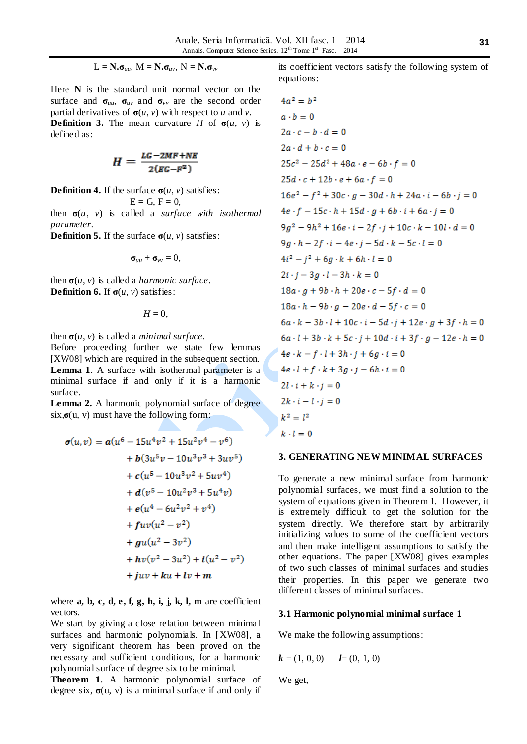$$
L = N \cdot \sigma_{uu}, \, M = N \cdot \sigma_{uv}, \, N = N \cdot \sigma_{vv}
$$

Here **N** is the standard unit normal vector on the surface and  $\sigma_{uu}$ ,  $\sigma_{uv}$  and  $\sigma_{vv}$  are the second order partial derivatives of  $\sigma(u, v)$  with respect to *u* and *v*. **Definition 3.** The mean curvature *H* of  $\sigma(u, v)$  is defined as:

$$
H=\frac{LG-2MF+NE}{2(EG-F^2)}
$$

**Definition 4.** If the surface  $\sigma(u, v)$  satisfies:

 $E = G$ ,  $F = 0$ ,

then  $\sigma(u, v)$  is called a *surface with isothermal parameter*.

**Definition 5.** If the surface  $\sigma(u, v)$  satisfies:

$$
\sigma_{uu}+\sigma_{vv}=0,
$$

then  $\sigma(u, v)$  is called a *harmonic surface*. **Definition 6.** If  $\sigma(u, v)$  satisfies:

 $H = 0$ ,

then  $\sigma(u, v)$  is called a *minimal surface*.

Before proceeding further we state few lemmas [XW08] which are required in the subsequent section. **Lemma 1.** A surface with isothermal parameter is a minimal surface if and only if it is a harmonic surface.

**Lemma 2.** A harmonic polynomial surface of degree  $\sin \theta$ **,**  $\sigma$  (u, v) must have the following form:

$$
\sigma(u,v) = a(u^6 - 15u^4v^2 + 15u^2v^4 - v^6)
$$
  
+ b(3u^5v - 10u^3v^3 + 3uv^5)  
+ c(u^5 - 10u^3v^2 + 5uv^4)  
+ d(v^5 - 10u^2v^3 + 5u^4v)  
+ e(u^4 - 6u^2v^2 + v^4)  
+ fuv(u^2 - v^2)  
+ gu(u^2 - 3v^2)  
+ hv(v^2 - 3u^2) + i(u^2 - v^2)  
+ juv + ku + iv + m

where **a, b, c, d, e, f, g, h, i, j, k, l, m** are coefficient vectors.

We start by giving a close relation between minima l surfaces and harmonic polynomials. In [XW08], a very significant theorem has been proved on the necessary and sufficient conditions, for a harmonic polynomial surface of degree six to be minimal.

**Theorem 1.** A harmonic polynomial surface of degree six,  $\sigma(u, v)$  is a minimal surface if and only if

its coefficient vectors satisfy the following system of equations:

$$
4a^{2} = b^{2}
$$
\n
$$
a \cdot b = 0
$$
\n
$$
2a \cdot c - b \cdot d = 0
$$
\n
$$
2a \cdot d + b \cdot c = 0
$$
\n
$$
25c^{2} - 25d^{2} + 48a \cdot e - 6b \cdot f = 0
$$
\n
$$
25d \cdot c + 12b \cdot e + 6a \cdot f = 0
$$
\n
$$
16e^{2} - f^{2} + 30c \cdot g - 30d \cdot h + 24a \cdot i - 6b \cdot j = 0
$$
\n
$$
4e \cdot f - 15c \cdot h + 15d \cdot g + 6b \cdot i + 6a \cdot j = 0
$$
\n
$$
9g^{2} - 9h^{2} + 16e \cdot i - 2f \cdot j + 10c \cdot k - 10l \cdot d = 0
$$
\n
$$
9g \cdot h - 2f \cdot i - 4e \cdot j - 5d \cdot k - 5c \cdot l = 0
$$
\n
$$
4i^{2} - j^{2} + 6g \cdot k + 6h \cdot l = 0
$$
\n
$$
2i \cdot j - 3g \cdot l - 3h \cdot k = 0
$$
\n
$$
18a \cdot g + 9b \cdot h + 20e \cdot c - 5f \cdot d = 0
$$
\n
$$
18a \cdot h - 9b \cdot g - 20e \cdot d - 5f \cdot c = 0
$$
\n
$$
6a \cdot k - 3b \cdot l + 10c \cdot i - 5d \cdot j + 12e \cdot g + 3f \cdot h = 0
$$
\n
$$
6a \cdot l + 3b \cdot k + 5c \cdot j + 10d \cdot i + 3f \cdot g - 12e \cdot h = 0
$$
\n
$$
4e \cdot k - f \cdot l + 3h \cdot j + 6g \cdot i = 0
$$
\n
$$
4e \cdot l + f \cdot k + 3g \cdot j - 6h \cdot i = 0
$$
\n
$$
2l \cdot i + k \cdot j = 0
$$
\n
$$
2k \cdot i - l \cdot j = 0
$$

#### **3. GENERATING NEW MINIMAL SURFACES**

To generate a new minimal surface from harmonic polynomial surfaces, we must find a solution to the system of equations given in Theorem 1. However, it is extremely difficult to get the solution for the system directly. We therefore start by arbitrarily initializing values to some of the coefficient vectors and then make intelligent assumptions to satisfy the other equations. The paper [XW08] gives examples of two such classes of minimal surfaces and studies their properties. In this paper we generate two different classes of minimal surfaces.

#### **3.1 Harmonic polynomial minimal surface 1**

We make the following assumptions:

$$
k = (1, 0, 0)
$$
  $l = (0, 1, 0)$ 

We get,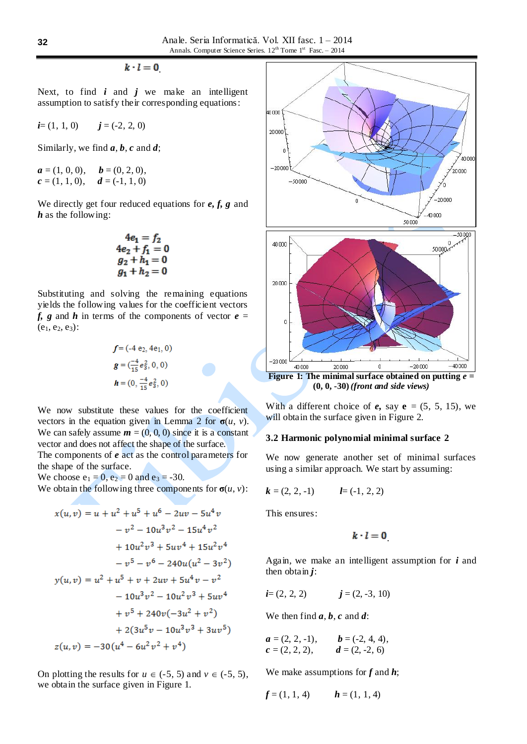$k \cdot l = 0$ 

Next, to find  $i$  and  $j$  we make an intelligent assumption to satisfy their corresponding equations:

 $i=(1, 1, 0)$   $j=(-2, 2, 0)$ 

Similarly, we find *a*, *b*, *c* and *d*;

 $a = (1, 0, 0), \quad b = (0, 2, 0),$  $c = (1, 1, 0), \quad d = (-1, 1, 0)$ 

We directly get four reduced equations for *e, f, g* and *h* as the following:

$$
4e_1 = f_2
$$
  
\n
$$
4e_2 + f_1 = 0
$$
  
\n
$$
g_2 + h_1 = 0
$$
  
\n
$$
g_1 + h_2 = 0
$$

Substituting and solving the remaining equations yields the following values for the coefficient vectors *f, g* and *h* in terms of the components of vector  $e =$  $(e_1, e_2, e_3)$ :

$$
f = (-4 e_2, 4e_1, 0)
$$
  
\n
$$
g = (\frac{-4}{15} e_3^2, 0, 0)
$$
  
\n
$$
h = (0, \frac{-4}{15} e_3^2, 0)
$$

We now substitute these values for the coefficient vectors in the equation given in Lemma 2 for  $\sigma(u, v)$ . We can safely assume  $m = (0, 0, 0)$  since it is a constant vector and does not affect the shape of the surface.

The components of *e* act as the control parameters for the shape of the surface.

We choose  $e_1 = 0$ ,  $e_2 = 0$  and  $e_3 = -30$ .

We obtain the following three components for  $\sigma(u, v)$ :

$$
x(u, v) = u + u2 + u5 + u6 - 2uv - 5u4v
$$
  
\n
$$
-v2 - 10u3v2 - 15u4v2
$$
  
\n
$$
+ 10u2v3 + 5uv4 + 15u2v4
$$
  
\n
$$
-v5 - v6 - 240u(u2 - 3v2)
$$
  
\n
$$
y(u, v) = u2 + u5 + v + 2uv + 5u4v - v2
$$
  
\n
$$
- 10u3v2 - 10u2v3 + 5uv4
$$
  
\n
$$
+ v5 + 240v(-3u2 + v2)
$$
  
\n
$$
+ 2(3u5v - 10u3v3 + 3uv5)
$$
  
\n
$$
z(u, v) = -30(u4 - 6u2v2 + v4)
$$

On plotting the results for  $u \in (-5, 5)$  and  $v \in (-5, 5)$ , we obtain the surface given in Figure 1.

40000  $20000$  $\overline{a}$  $40000$  $-20.000$  $\frac{7}{20000}$  $-50000$ 'n  $-20000$ ò  $40000$ 50,000  $50000$ 40000 50.000+ 20000 0  $-20000$  $-40000$ 40 000 20 000  $-20000$  $\bf{0}$ **Figure 1:** The minimal surface obtained on putting  $e =$ 

**(0, 0, -30)** *(front and side views)*

With a different choice of  $e$ , say  $e = (5, 5, 15)$ , we will obtain the surface given in Figure 2.

#### **3.2 Harmonic polynomial minimal surface 2**

We now generate another set of minimal surfaces using a similar approach. We start by assuming:

$$
k = (2, 2, -1)
$$
  $l = (-1, 2, 2)$ 

This ensures:

$$
k\cdot l=0
$$

Again, we make an intelligent assumption for *i* and then obtain  $j$ :

$$
i=(2, 2, 2) \qquad \qquad j=(2, -3, 10)
$$

We then find  $a, b, c$  and  $d$ :

$$
a = (2, 2, -1), \qquad b = (-2, 4, 4),
$$
  

$$
c = (2, 2, 2), \qquad d = (2, -2, 6)
$$

We make assumptions for *f* and *h*;

$$
f=(1, 1, 4)
$$
  $h=(1, 1, 4)$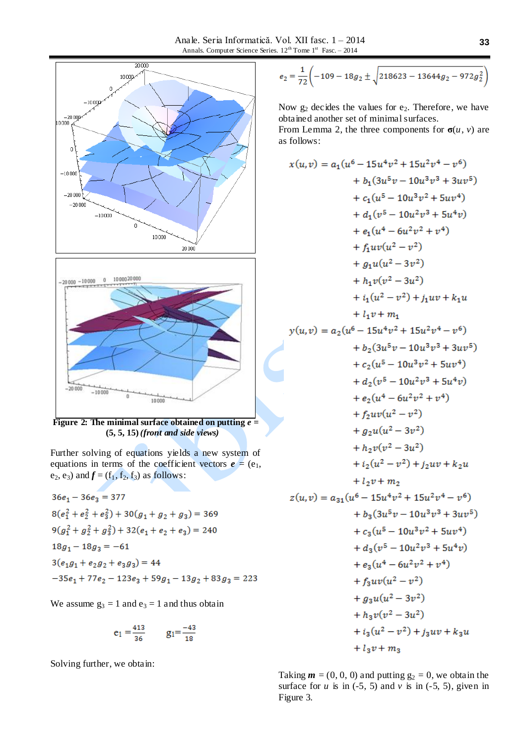

**(5, 5, 15)** *(front and side views)*

Further solving of equations yields a new system of equations in terms of the coefficient vectors  $e = (e_1,$  $e_2$ ,  $e_3$ ) and  $f = (f_1, f_2, f_3)$  as follows:

$$
36e_1 - 36e_3 = 377
$$
  
\n
$$
8(e_1^2 + e_2^2 + e_3^2) + 30(g_1 + g_2 + g_3) = 369
$$
  
\n
$$
9(g_1^2 + g_2^2 + g_3^2) + 32(e_1 + e_2 + e_3) = 240
$$
  
\n
$$
18g_1 - 18g_3 = -61
$$
  
\n
$$
3(e_1g_1 + e_2g_2 + e_3g_3) = 44
$$
  
\n
$$
-35e_1 + 77e_2 - 123e_3 + 59g_1 - 13g_2 + 83g_3 = 223
$$

We assume  $g_3 = 1$  and  $e_3 = 1$  and thus obtain

$$
e_1 = \frac{413}{36} \qquad g_1 = \frac{-43}{18}
$$

Solving further, we obtain:

$$
e_2 = \frac{1}{72} \left( -109 - 18g_2 \pm \sqrt{218623 - 13644g_2 - 972g_2^2} \right)
$$

Now  $g_2$  decides the values for  $e_2$ . Therefore, we have obtained another set of minimal surfaces.

From Lemma 2, the three components for  $\sigma(u, v)$  are as follows:

$$
x(u,v) = a_1(u^6 - 15u^4v^2 + 15u^2v^4 - v^6)
$$
  
+  $b_1(3u^5v - 10u^3v^3 + 3uv^5)$   
+  $c_1(u^5 - 10u^2v^3 + 5u^4v)$   
+  $d_1(v^5 - 10u^2v^3 + 5u^4v)$   
+  $e_1(u^4 - 6u^2v^2 + v^4)$   
+  $f_1uv(u^2 - v^2)$   
+  $g_1u(u^2 - 3v^2)$   
+  $h_1v(v^2 - 3u^2)$   
+  $i_1(u^2 - v^2) + j_1uv + k_1u$   
+  $l_1v + m_1$   
 $y(u,v) = a_2(u^6 - 15u^4v^2 + 15u^2v^4 - v^6)$   
+  $b_2(3u^5v - 10u^3v^3 + 3uv^5)$   
+  $c_2(u^5 - 10u^3v^2 + 5uv^4)$   
+  $d_2(v^5 - 10u^2v^3 + 5u^4v)$   
+  $e_2(u^4 - 6u^2v^2 + v^4)$   
+  $f_2uv(u^2 - v^2)$   
+  $g_2u(u^2 - 3v^2)$   
+  $h_2v(v^2 - 3u^2)$   
+  $i_2(v^2 - v^2) + j_2uv + k_2u$   
+  $l_2v + m_2$   
 $z(u,v) = a_{31}(u^6 - 15u^4v^2 + 15u^2v^4 - v^6)$   
+  $b_3(3u^5v - 10u^3v^3 + 3uv^5)$   
+  $c_3(u^5 - 10u^3v^2 + 5uv^4)$   
+  $d_3(v^5 - 10u^2v^3 + 5u^4v)$   
+  $d_3(v^5 - 10u^2v^3 + 5u^4v)$   
+  $e_3(u^4 - 6u^2v^2 + v^4)$   
+  $f_3uv(u^2 - v^2)$   
+  $g_3u(u^2 - 3v^2)$   
+  $g_$ 

Taking  $\mathbf{m} = (0, 0, 0)$  and putting  $g_2 = 0$ , we obtain the surface for  $u$  is in (-5, 5) and  $v$  is in (-5, 5), given in Figure 3.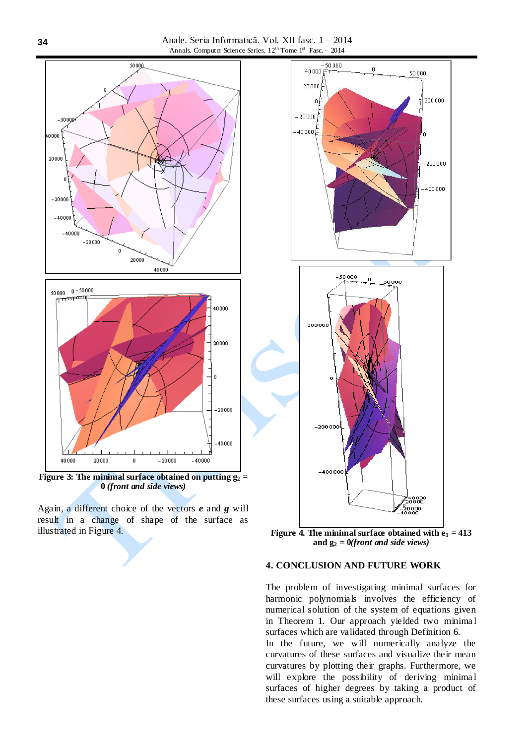Anale. Seria Informatică. Vol. XII fasc. 1 – 2014 Annals. Computer Science Series.  $12^{th}$  Tome  $1^{st}$  Fasc. - 2014



**Figure 3:** The minimal surface obtained on putting  $\overline{g_2}$  = **0** *(front and side views)*

Again, a different choice of the vectors *e* and *g* will result in a change of shape of the surface as illustrated in Figure 4. **Figure 4. The minimal surface obtained with**  $\mathbf{e}_1 = 413$ 



**and g<sup>2</sup> = 0***(front and side views)*

## **4. CONCLUSION AND FUTURE WORK**

The problem of investigating minimal surfaces for harmonic polynomials involves the efficiency of numerical solution of the system of equations given in Theorem 1. Our approach yielded two minima l surfaces which are validated through Definition 6. In the future, we will numerically analyze the curvatures of these surfaces and visualize their mean

curvatures by plotting their graphs. Furthermore, we will explore the possibility of deriving minimal surfaces of higher degrees by taking a product of these surfaces using a suitable approach.